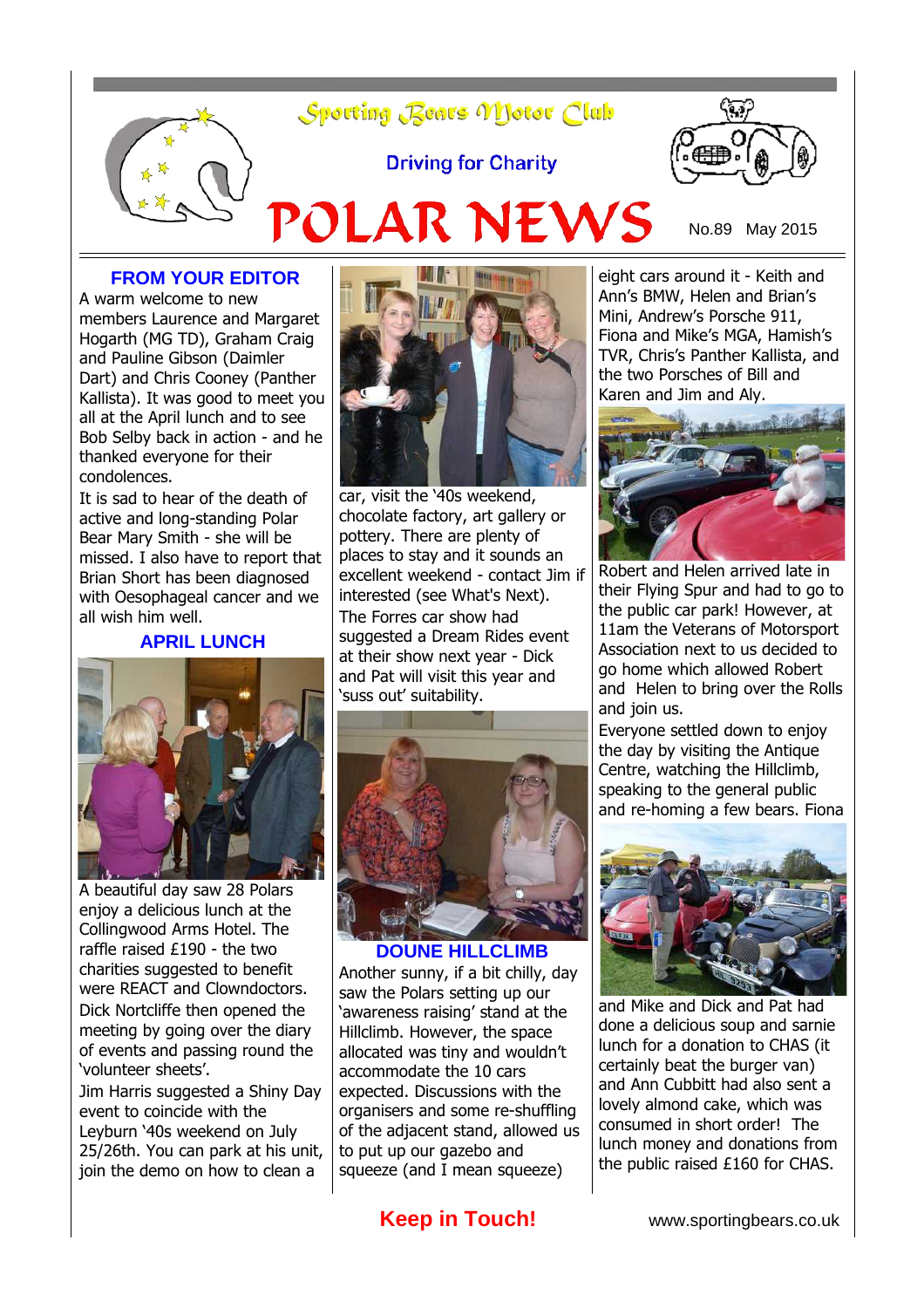# Sporting Bears Motor Club

**Driving for Charity** 



POLAR NEWS No.89 May 2015

### **FROM YOUR EDITOR**

A warm welcome to new members Laurence and Margaret Hogarth (MG TD), Graham Craig and Pauline Gibson (Daimler Dart) and Chris Cooney (Panther Kallista). It was good to meet you all at the April lunch and to see Bob Selby back in action - and he thanked everyone for their condolences.

It is sad to hear of the death of active and long-standing Polar Bear Mary Smith - she will be missed. I also have to report that Brian Short has been diagnosed with Oesophageal cancer and we all wish him well.

#### **APRIL LUNCH**



A beautiful day saw 28 Polars enjoy a delicious lunch at the Collingwood Arms Hotel. The raffle raised £190 - the two charities suggested to benefit were REACT and Clowndoctors. Dick Nortcliffe then opened the meeting by going over the diary of events and passing round the 'volunteer sheets'.

Jim Harris suggested a Shiny Day event to coincide with the Leyburn '40s weekend on July 25/26th. You can park at his unit, join the demo on how to clean a



car, visit the '40s weekend, chocolate factory, art gallery or pottery. There are plenty of places to stay and it sounds an excellent weekend - contact Jim if interested (see What's Next). The Forres car show had suggested a Dream Rides event at their show next year - Dick and Pat will visit this year and 'suss out' suitability.



Another sunny, if a bit chilly, day saw the Polars setting up our 'awareness raising' stand at the Hillclimb. However, the space allocated was tiny and wouldn't accommodate the 10 cars expected. Discussions with the organisers and some re-shuffling of the adjacent stand, allowed us to put up our gazebo and squeeze (and I mean squeeze)

**Keep in Touch!** www.sportingbears.co.uk

eight cars around it - Keith and Ann's BMW, Helen and Brian's Mini, Andrew's Porsche 911, Fiona and Mike's MGA, Hamish's TVR, Chris's Panther Kallista, and the two Porsches of Bill and Karen and Jim and Aly.



Robert and Helen arrived late in their Flying Spur and had to go to the public car park! However, at 11am the Veterans of Motorsport Association next to us decided to go home which allowed Robert and Helen to bring over the Rolls and join us.

Everyone settled down to enjoy the day by visiting the Antique Centre, watching the Hillclimb, speaking to the general public and re-homing a few bears. Fiona



and Mike and Dick and Pat had done a delicious soup and sarnie lunch for a donation to CHAS (it certainly beat the burger van) and Ann Cubbitt had also sent a lovely almond cake, which was consumed in short order! The lunch money and donations from the public raised £160 for CHAS.